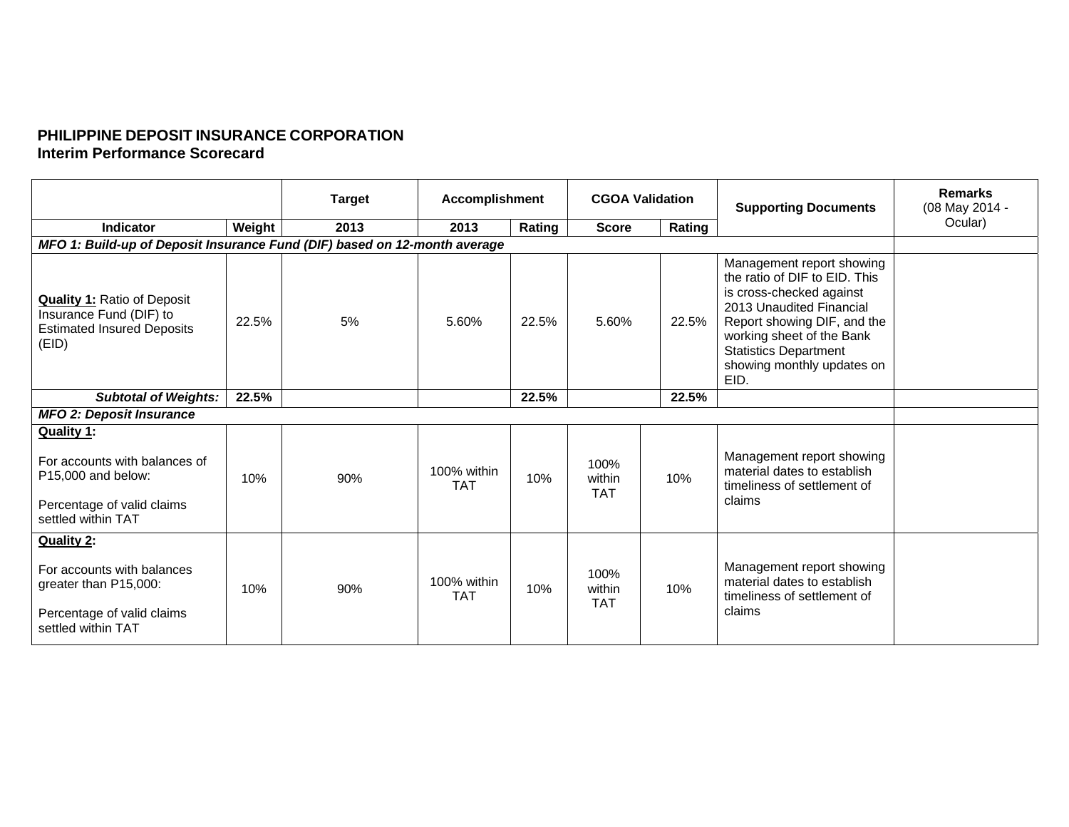## **PHILIPPINE DEPOSIT INSURANCE CORPORATION Interim Performance Scorecard**

|                                                                                                                       |        | <b>Target</b> | <b>Accomplishment</b>     |        | <b>CGOA Validation</b>       |        | <b>Supporting Documents</b>                                                                                                                                                                                                                          | <b>Remarks</b><br>(08 May 2014 - |
|-----------------------------------------------------------------------------------------------------------------------|--------|---------------|---------------------------|--------|------------------------------|--------|------------------------------------------------------------------------------------------------------------------------------------------------------------------------------------------------------------------------------------------------------|----------------------------------|
| Indicator                                                                                                             | Weight | 2013          | 2013                      | Rating | <b>Score</b>                 | Rating |                                                                                                                                                                                                                                                      | Ocular)                          |
| MFO 1: Build-up of Deposit Insurance Fund (DIF) based on 12-month average                                             |        |               |                           |        |                              |        |                                                                                                                                                                                                                                                      |                                  |
| <b>Quality 1: Ratio of Deposit</b><br>Insurance Fund (DIF) to<br><b>Estimated Insured Deposits</b><br>(EID)           | 22.5%  | 5%            | 5.60%                     | 22.5%  | 5.60%                        | 22.5%  | Management report showing<br>the ratio of DIF to EID. This<br>is cross-checked against<br>2013 Unaudited Financial<br>Report showing DIF, and the<br>working sheet of the Bank<br><b>Statistics Department</b><br>showing monthly updates on<br>EID. |                                  |
| <b>Subtotal of Weights:</b>                                                                                           | 22.5%  |               |                           | 22.5%  |                              | 22.5%  |                                                                                                                                                                                                                                                      |                                  |
| <b>MFO 2: Deposit Insurance</b>                                                                                       |        |               |                           |        |                              |        |                                                                                                                                                                                                                                                      |                                  |
| Quality 1:<br>For accounts with balances of<br>P15,000 and below:<br>Percentage of valid claims<br>settled within TAT | 10%    | 90%           | 100% within<br><b>TAT</b> | 10%    | 100%<br>within<br><b>TAT</b> | 10%    | Management report showing<br>material dates to establish<br>timeliness of settlement of<br>claims                                                                                                                                                    |                                  |
| Quality 2:<br>For accounts with balances<br>greater than P15,000:<br>Percentage of valid claims<br>settled within TAT | 10%    | 90%           | 100% within<br><b>TAT</b> | 10%    | 100%<br>within<br><b>TAT</b> | 10%    | Management report showing<br>material dates to establish<br>timeliness of settlement of<br>claims                                                                                                                                                    |                                  |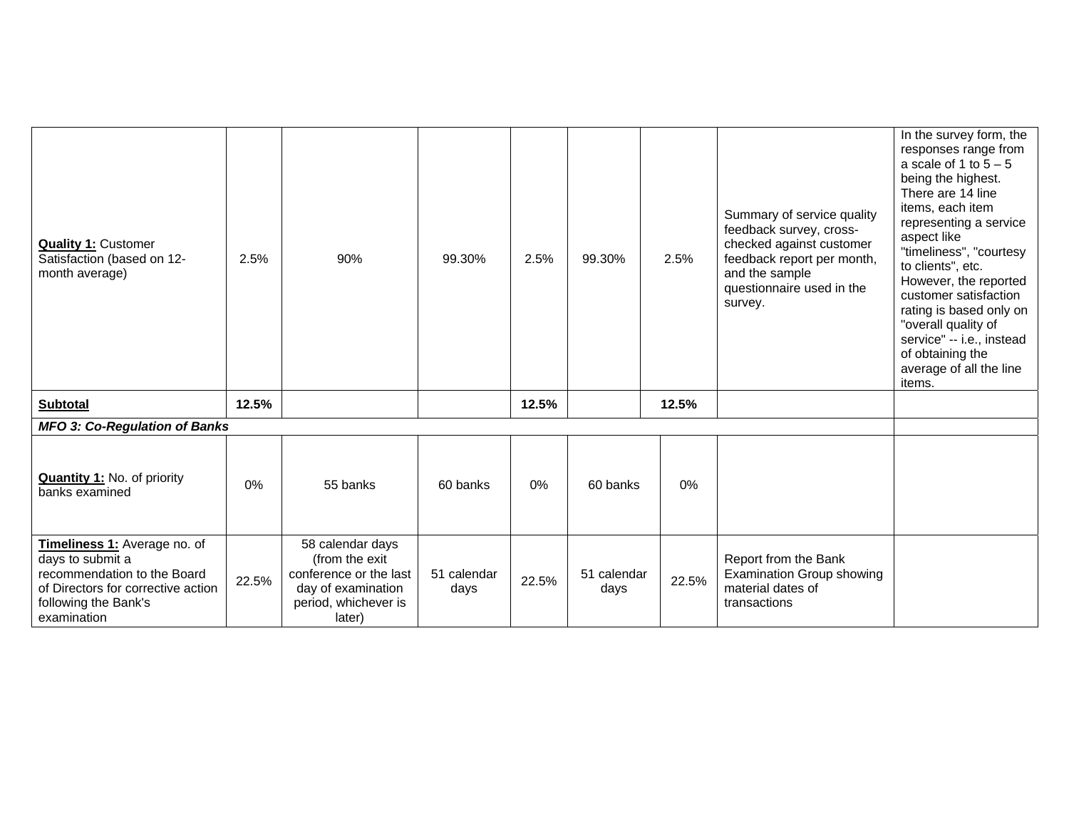| <b>Quality 1: Customer</b><br>Satisfaction (based on 12-<br>month average)                                                                                   | 2.5%  | 90%                                                                                                                  | 99.30%              | 2.5%  | 99.30%              | 2.5%  | Summary of service quality<br>feedback survey, cross-<br>checked against customer<br>feedback report per month,<br>and the sample<br>questionnaire used in the<br>survey. | In the survey form, the<br>responses range from<br>a scale of 1 to $5 - 5$<br>being the highest.<br>There are 14 line<br>items, each item<br>representing a service<br>aspect like<br>"timeliness", "courtesy<br>to clients", etc.<br>However, the reported<br>customer satisfaction<br>rating is based only on<br>"overall quality of<br>service" -- i.e., instead<br>of obtaining the<br>average of all the line<br>items. |  |
|--------------------------------------------------------------------------------------------------------------------------------------------------------------|-------|----------------------------------------------------------------------------------------------------------------------|---------------------|-------|---------------------|-------|---------------------------------------------------------------------------------------------------------------------------------------------------------------------------|------------------------------------------------------------------------------------------------------------------------------------------------------------------------------------------------------------------------------------------------------------------------------------------------------------------------------------------------------------------------------------------------------------------------------|--|
| <b>Subtotal</b>                                                                                                                                              | 12.5% |                                                                                                                      |                     | 12.5% |                     | 12.5% |                                                                                                                                                                           |                                                                                                                                                                                                                                                                                                                                                                                                                              |  |
| <b>MFO 3: Co-Regulation of Banks</b>                                                                                                                         |       |                                                                                                                      |                     |       |                     |       |                                                                                                                                                                           |                                                                                                                                                                                                                                                                                                                                                                                                                              |  |
| <b>Quantity 1: No. of priority</b><br>banks examined                                                                                                         | 0%    | 55 banks                                                                                                             | 60 banks            | $0\%$ | 60 banks            | 0%    |                                                                                                                                                                           |                                                                                                                                                                                                                                                                                                                                                                                                                              |  |
| Timeliness 1: Average no. of<br>days to submit a<br>recommendation to the Board<br>of Directors for corrective action<br>following the Bank's<br>examination | 22.5% | 58 calendar days<br>(from the exit<br>conference or the last<br>day of examination<br>period, whichever is<br>later) | 51 calendar<br>days | 22.5% | 51 calendar<br>days | 22.5% | Report from the Bank<br><b>Examination Group showing</b><br>material dates of<br>transactions                                                                             |                                                                                                                                                                                                                                                                                                                                                                                                                              |  |